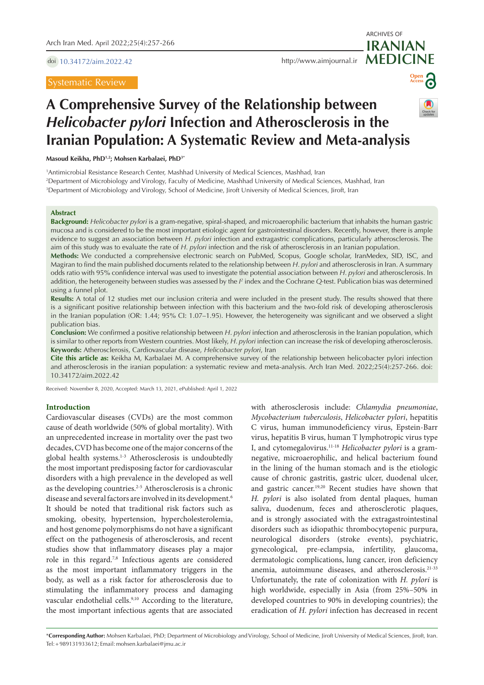doi [10.34172/aim.2022.42](https://doi.org/10.34172/aim.2022.42)

Systematic Review

**MEDICINE** <http://www.aimjournal.ir>



ARCHIVES OF

**IRANIAN**

# **A Comprehensive Survey of the Relationship between**  *Helicobacter pylori* **Infection and Atherosclerosis in the Iranian Population: A Systematic Review and Meta-analysis**

**Masoud Keikha, PhD1,2; Mohsen Karbalaei, PhD3\***

1 Antimicrobial Resistance Research Center, Mashhad University of Medical Sciences, Mashhad, Iran

2 Department of Microbiology and Virology, Faculty of Medicine, Mashhad University of Medical Sciences, Mashhad, Iran

3 Department of Microbiology and Virology, School of Medicine, Jiroft University of Medical Sciences, Jiroft, Iran

#### **Abstract**

**Background:** *Helicobacter pylori* is a gram-negative, spiral-shaped, and microaerophilic bacterium that inhabits the human gastric mucosa and is considered to be the most important etiologic agent for gastrointestinal disorders. Recently, however, there is ample evidence to suggest an association between *H. pylori* infection and extragastric complications, particularly atherosclerosis. The aim of this study was to evaluate the rate of *H. pylori* infection and the risk of atherosclerosis in an Iranian population.

**Methods:** We conducted a comprehensive electronic search on PubMed, Scopus, Google scholar, IranMedex, SID, ISC, and Magiran to find the main published documents related to the relationship between *H. pylori* and atherosclerosis in Iran. A summary odds ratio with 95% confidence interval was used to investigate the potential association between *H. pylori* and atherosclerosis. In addition, the heterogeneity between studies was assessed by the *I*<sup>2</sup> index and the Cochrane Q-test. Publication bias was determined using a funnel plot.

**Results:** A total of 12 studies met our inclusion criteria and were included in the present study. The results showed that there is a significant positive relationship between infection with this bacterium and the two-fold risk of developing atherosclerosis in the Iranian population (OR: 1.44; 95% CI: 1.07–1.95). However, the heterogeneity was significant and we observed a slight publication bias.

**Conclusion:** We confirmed a positive relationship between *H*. *pylori* infection and atherosclerosis in the Iranian population, which is similar to other reports from Western countries. Most likely, *H. pylori* infection can increase the risk of developing atherosclerosis. **Keywords:** Atherosclerosis, Cardiovascular disease, *Helicobacter pylori*, Iran

**Cite this article as:** Keikha M, Karbalaei M. A comprehensive survey of the relationship between helicobacter pylori infection and atherosclerosis in the iranian population: a systematic review and meta-analysis. Arch Iran Med. 2022;25(4):257-266. doi: 10.34172/aim.2022.42

Received: November 8, 2020, Accepted: March 13, 2021, ePublished: April 1, 2022

# **Introduction**

Cardiovascular diseases (CVDs) are the most common cause of death worldwide (50% of global mortality). With an unprecedented increase in mortality over the past two decades, CVD has become one of the major concerns of the global health systems.<sup>1-3</sup> Atherosclerosis is undoubtedly the most important predisposing factor for cardiovascular disorders with a high prevalence in the developed as well as the developing countries.<sup>2-5</sup> Atherosclerosis is a chronic disease and several factors are involved in its development.6 It should be noted that traditional risk factors such as smoking, obesity, hypertension, hypercholesterolemia, and host genome polymorphisms do not have a significant effect on the pathogenesis of atherosclerosis, and recent studies show that inflammatory diseases play a major role in this regard.7,8 Infectious agents are considered as the most important inflammatory triggers in the body, as well as a risk factor for atherosclerosis due to stimulating the inflammatory process and damaging vascular endothelial cells.<sup>9,10</sup> According to the literature, the most important infectious agents that are associated

with atherosclerosis include: *Chlamydia pneumoniae*, *Mycobacterium tuberculosis*, *Helicobacter pylori*, hepatitis C virus, human immunodeficiency virus, Epstein-Barr virus, hepatitis B virus, human T lymphotropic virus type I, and cytomegalovirus.11-18 *Helicobacter pylori* is a gramnegative, microaerophilic, and helical bacterium found in the lining of the human stomach and is the etiologic cause of chronic gastritis, gastric ulcer, duodenal ulcer, and gastric cancer.19,20 Recent studies have shown that *H. pylori* is also isolated from dental plaques, human saliva, duodenum, feces and atherosclerotic plaques, and is strongly associated with the extragastrointestinal disorders such as idiopathic thrombocytopenic purpura, neurological disorders (stroke events), psychiatric, gynecological, pre-eclampsia, infertility, glaucoma, dermatologic complications, lung cancer, iron deficiency anemia, autoimmune diseases, and atherosclerosis.21-33 Unfortunately, the rate of colonization with *H. pylori* is high worldwide, especially in Asia (from 25%–50% in developed countries to 90% in developing countries); the eradication of *H. pylori* infection has decreased in recent

\***Corresponding Author:** Mohsen Karbalaei, PhD; Department of Microbiology and Virology, School of Medicine, Jiroft University of Medical Sciences, Jiroft, Iran. Tel:+989131933612; Email: mohsen.karbalaei@jmu.ac.ir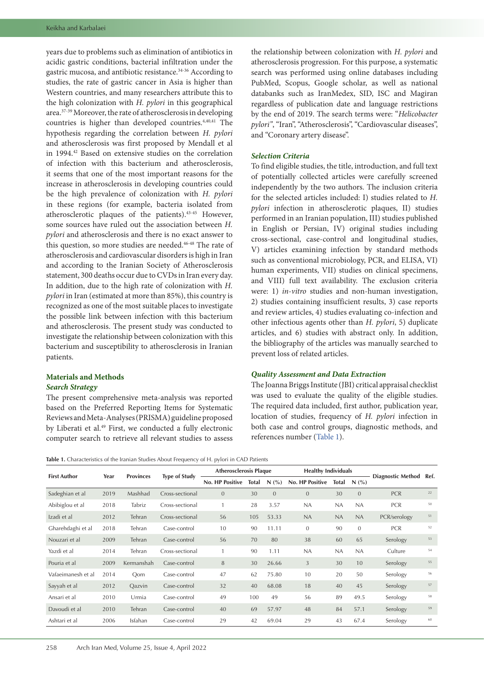years due to problems such as elimination of antibiotics in acidic gastric conditions, bacterial infiltration under the gastric mucosa, and antibiotic resistance.34-36 According to studies, the rate of gastric cancer in Asia is higher than Western countries, and many researchers attribute this to the high colonization with *H. pylori* in this geographical area.37-39 Moreover, the rate of atherosclerosis in developing countries is higher than developed countries.4,40,41 The hypothesis regarding the correlation between *H. pylori* and atherosclerosis was first proposed by Mendall et al in 1994.42 Based on extensive studies on the correlation of infection with this bacterium and atherosclerosis, it seems that one of the most important reasons for the increase in atherosclerosis in developing countries could be the high prevalence of colonization with *H. pylori* in these regions (for example, bacteria isolated from atherosclerotic plaques of the patients).43-45 However, some sources have ruled out the association between *H. pylori* and atherosclerosis and there is no exact answer to this question, so more studies are needed.<sup>46-48</sup> The rate of atherosclerosis and cardiovascular disorders is high in Iran and according to the Iranian Society of Atherosclerosis statement, 300 deaths occur due to CVDs in Iran every day. In addition, due to the high rate of colonization with *H. pylori* in Iran (estimated at more than 85%), this country is recognized as one of the most suitable places to investigate the possible link between infection with this bacterium and atherosclerosis. The present study was conducted to investigate the relationship between colonization with this bacterium and susceptibility to atherosclerosis in Iranian patients.

## **Materials and Methods** *Search Strategy*

The present comprehensive meta-analysis was reported based on the Preferred Reporting Items for Systematic Reviews and Meta-Analyses (PRISMA) guideline proposed by Liberati et al.<sup>49</sup> First, we conducted a fully electronic computer search to retrieve all relevant studies to assess

the relationship between colonization with *H. pylori* and atherosclerosis progression. For this purpose, a systematic search was performed using online databases including PubMed, Scopus, Google scholar, as well as national databanks such as IranMedex, SID, ISC and Magiran regardless of publication date and language restrictions by the end of 2019. The search terms were: "*Helicobacter pylori"*, "Iran", "Atherosclerosis", "Cardiovascular diseases", and "Coronary artery disease".

# *Selection Criteria*

To find eligible studies, the title, introduction, and full text of potentially collected articles were carefully screened independently by the two authors. The inclusion criteria for the selected articles included: I) studies related to *H. pylori* infection in atherosclerotic plaques, II) studies performed in an Iranian population, III) studies published in English or Persian, IV) original studies including cross-sectional, case-control and longitudinal studies, V) articles examining infection by standard methods such as conventional microbiology, PCR, and ELISA, VI) human experiments, VII) studies on clinical specimens, and VIII) full text availability. The exclusion criteria were: 1) *in*-*vitro* studies and non-human investigation, 2) studies containing insufficient results, 3) case reports and review articles, 4) studies evaluating co-infection and other infectious agents other than *H. pylori*, 5) duplicate articles, and 6) studies with abstract only. In addition, the bibliography of the articles was manually searched to prevent loss of related articles.

#### *Quality Assessment and Data Extraction*

The Joanna Briggs Institute (JBI) critical appraisal checklist was used to evaluate the quality of the eligible studies. The required data included, first author, publication year, location of studies, frequency of *H. pylori* infection in both case and control groups, diagnostic methods, and references number [\(Table](#page-1-0) 1).

<span id="page-1-0"></span>**Table 1.** Characteristics of the Iranian Studies About Frequency of H. pylori in CAD Patients

|                     | Year | <b>Provinces</b> | <b>Type of Study</b> | <b>Atherosclerosis Plaque</b> |       |                | <b>Healthy Individuals</b> |              |                |                          |      |
|---------------------|------|------------------|----------------------|-------------------------------|-------|----------------|----------------------------|--------------|----------------|--------------------------|------|
| <b>First Author</b> |      |                  |                      | <b>No. HP Positive</b>        | Total | N(%)           | <b>No. HP Positive</b>     | <b>Total</b> | N(%            | <b>Diagnostic Method</b> | Ref. |
| Sadeghian et al     | 2019 | Mashhad          | Cross-sectional      | $\overline{0}$                | 30    | $\overline{0}$ | $\overline{0}$             | 30           | $\overline{0}$ | <b>PCR</b>               | 22   |
| Abibiglou et al     | 2018 | Tabriz           | Cross-sectional      |                               | 28    | 3.57           | <b>NA</b>                  | <b>NA</b>    | NA             | <b>PCR</b>               | 50   |
| Izadi et al         | 2012 | Tehran           | Cross-sectional      | 56                            | 105   | 53.33          | <b>NA</b>                  | <b>NA</b>    | NA             | PCR/serology             | 51   |
| Gharehdaghi et al   | 2018 | Tehran           | Case-control         | 10                            | 90    | 11.11          | $\mathbf{0}$               | 90           | $\mathbf{0}$   | <b>PCR</b>               | 52   |
| Nouzari et al       | 2009 | Tehran           | Case-control         | 56                            | 70    | 80             | 38                         | 60           | 65             | Serology                 | 53   |
| Yazdi et al         | 2014 | Tehran           | Cross-sectional      |                               | 90    | 1.11           | <b>NA</b>                  | <b>NA</b>    | NA             | Culture                  | 54   |
| Pouria et al        | 2009 | Kermanshah       | Case-control         | 8                             | 30    | 26.66          | 3                          | 30           | 10             | Serology                 | 55   |
| Vafaeimanesh et al  | 2014 | Oom              | Case-control         | 47                            | 62    | 75.80          | 10                         | 20           | 50             | Serology                 | 56   |
| Sayyah et al        | 2012 | Oazvin           | Case-control         | 32                            | 40    | 68.08          | 18                         | 40           | 45             | Serology                 | 57   |
| Ansari et al        | 2010 | Urmia            | Case-control         | 49                            | 100   | 49             | 56                         | 89           | 49.5           | Serology                 | 58   |
| Davoudi et al       | 2010 | Tehran           | Case-control         | 40                            | 69    | 57.97          | 48                         | 84           | 57.1           | Serology                 | 59   |
| Ashtari et al       | 2006 | Isfahan          | Case-control         | 29                            | 42    | 69.04          | 29                         | 43           | 67.4           | Serology                 | 60   |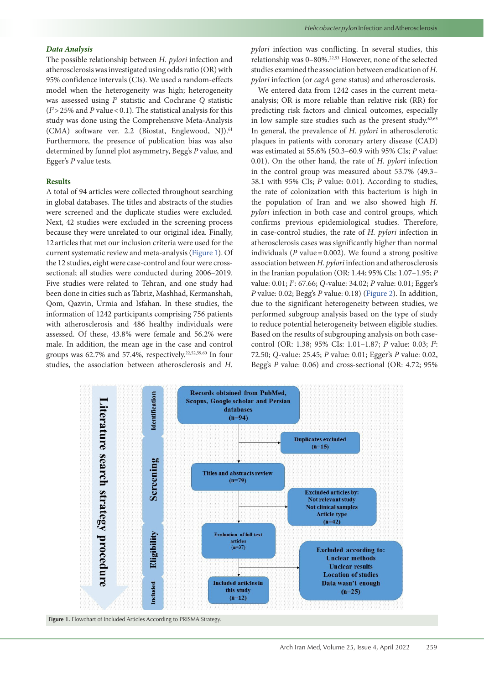#### *Data Analysis*

The possible relationship between *H. pylori* infection and atherosclerosis was investigated using odds ratio (OR) with 95% confidence intervals (CIs). We used a random-effects model when the heterogeneity was high; heterogeneity was assessed using  $I^2$  statistic and Cochrane Q statistic  $(I^2 > 25\%$  and *P* value < 0.1). The statistical analysis for this study was done using the Comprehensive Meta-Analysis (CMA) software ver. 2.2 (Biostat, Englewood, NJ).61 Furthermore, the presence of publication bias was also determined by funnel plot asymmetry, Begg's *P* value, and Egger's *P* value tests.

#### **Results**

A total of 94 articles were collected throughout searching in global databases. The titles and abstracts of the studies were screened and the duplicate studies were excluded. Next, 42 studies were excluded in the screening process because they were unrelated to our original idea. Finally, 12articles that met our inclusion criteria were used for the current systematic review and meta-analysis [\(Figure](#page-2-0) 1). Of the 12 studies, eight were case-control and four were crosssectional; all studies were conducted during 2006–2019. Five studies were related to Tehran, and one study had been done in cities such as Tabriz, Mashhad, Kermanshah, Qom, Qazvin, Urmia and Isfahan. In these studies, the information of 1242 participants comprising 756 patients with atherosclerosis and 486 healthy individuals were assessed. Of these, 43.8% were female and 56.2% were male. In addition, the mean age in the case and control groups was  $62.7\%$  and  $57.4\%$ , respectively.<sup>22,52,59,60</sup> In four studies, the association between atherosclerosis and *H.*  *pylori* infection was conflicting. In several studies, this relationship was 0–80%.22,53 However, none of the selected studies examined the association between eradication of *H. pylori* infection (or *cagA* gene status) and atherosclerosis.

We entered data from 1242 cases in the current metaanalysis; OR is more reliable than relative risk (RR) for predicting risk factors and clinical outcomes, especially in low sample size studies such as the present study. $62,63$ In general, the prevalence of *H. pylori* in atherosclerotic plaques in patients with coronary artery disease (CAD) was estimated at 55.6% (50.3–60.9 with 95% CIs; *P* value: 0.01). On the other hand, the rate of *H. pylori* infection in the control group was measured about 53.7% (49.3– 58.1 with 95% CIs; *P* value: 0.01). According to studies, the rate of colonization with this bacterium is high in the population of Iran and we also showed high *H. pylori* infection in both case and control groups, which confirms previous epidemiological studies. Therefore, in case-control studies, the rate of *H. pylori* infection in atherosclerosis cases was significantly higher than normal individuals ( $P$  value=0.002). We found a strong positive association between *H. pylori* infection and atherosclerosis in the Iranian population (OR: 1.44; 95% CIs: 1.07–1.95; *P* value: 0.01; *I2* : 67.66; *Q*-value: 34.02; *P* value: 0.01; Egger's *P* value: 0.02; Begg's *P* value: 0.18) [\(Figure](#page-3-0) 2). In addition, due to the significant heterogeneity between studies, we performed subgroup analysis based on the type of study to reduce potential heterogeneity between eligible studies. Based on the results of subgrouping analysis on both casecontrol (OR: 1.38; 95% CIs: 1.01–1.87; *P* value: 0.03; *I2* : 72.50; *Q*-value: 25.45; *P* value: 0.01; Egger's *P* value: 0.02, Begg's *P* value: 0.06) and cross-sectional (OR: 4.72; 95%

<span id="page-2-0"></span>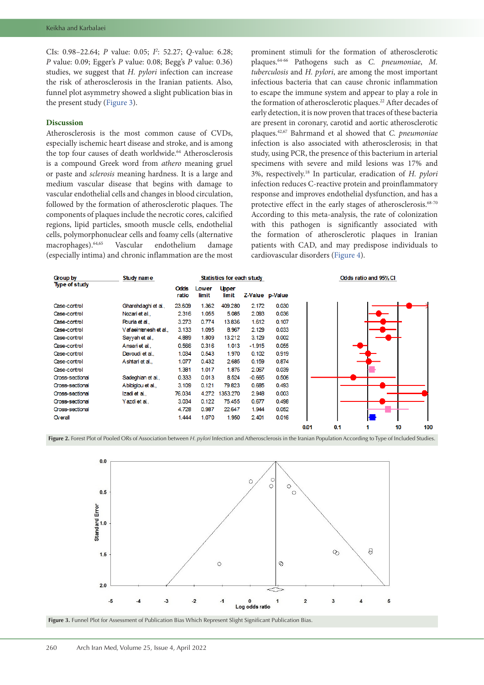CIs: 0.98–22.64; *P* value: 0.05; *I2* : 52.27; *Q*-value: 6.28; *P* value: 0.09; Egger's *P* value: 0.08; Begg's *P* value: 0.36) studies, we suggest that *H. pylori* infection can increase the risk of atherosclerosis in the Iranian patients. Also, funnel plot asymmetry showed a slight publication bias in the present study ([Figure](#page-3-1) 3).

## **Discussion**

Atherosclerosis is the most common cause of CVDs, especially ischemic heart disease and stroke, and is among the top four causes of death worldwide.<sup>64</sup> Atherosclerosis is a compound Greek word from *athero* meaning gruel or paste and *sclerosis* meaning hardness. It is a large and medium vascular disease that begins with damage to vascular endothelial cells and changes in blood circulation, followed by the formation of atherosclerotic plaques. The components of plaques include the necrotic cores, calcified regions, lipid particles, smooth muscle cells, endothelial cells, polymorphonuclear cells and foamy cells (alternative macrophages).64,65 Vascular endothelium damage (especially intima) and chronic inflammation are the most

prominent stimuli for the formation of atherosclerotic plaques.64-66 Pathogens such as *C. pneumoniae*, *M. tuberculosis* and *H. pylori*, are among the most important infectious bacteria that can cause chronic inflammation to escape the immune system and appear to play a role in the formation of atherosclerotic plaques.<sup>22</sup> After decades of early detection, it is now proven that traces of these bacteria are present in coronary, carotid and aortic atherosclerotic plaques.42,67 Bahrmand et al showed that *C. pneumoniae* infection is also associated with atherosclerosis; in that study, using PCR, the presence of this bacterium in arterial specimens with severe and mild lesions was 17% and 3%, respectively.18 In particular, eradication of *H. pylori* infection reduces C-reactive protein and proinflammatory response and improves endothelial dysfunction, and has a protective effect in the early stages of atherosclerosis.<sup>68-70</sup> According to this meta-analysis, the rate of colonization with this pathogen is significantly associated with the formation of atherosclerotic plaques in Iranian patients with CAD, and may predispose individuals to cardiovascular disorders [\(Figure](#page-4-0) 4).

<span id="page-3-0"></span>

| Group by               | Study name          | Statistics for each study |                       |                              |          |                 |      |     | Odds ratio and 95% CI |    |     |  |  |
|------------------------|---------------------|---------------------------|-----------------------|------------------------------|----------|-----------------|------|-----|-----------------------|----|-----|--|--|
| <b>Type of study</b>   |                     | <b>Odds</b><br>ratio      | <b>Lower</b><br>limit | <b>Upper</b><br><b>limit</b> |          | Z-Value p-Value |      |     |                       |    |     |  |  |
| Case-control           | Gharehdaghi et al., | 23.609                    | 1.362                 | 409.280                      | 2.172    | 0.030           |      |     |                       |    |     |  |  |
| Case-control           | Nozari et al.,      | 2.316                     | 1.055                 | 5.085                        | 2.093    | 0.036           |      |     |                       |    |     |  |  |
| Case-control           | Pouria et al        | 3.273                     | 0.774                 | 13.836                       | 1.612    | 0.107           |      |     |                       |    |     |  |  |
| Case-control           | Vafaeimanesh et al  | 3.133                     | 1.095                 | 8.967                        | 2.129    | 0.033           |      |     |                       |    |     |  |  |
| Case-control           | Sayyah et al.,      | 4.889                     | 1.809                 | 13.212                       | 3.129    | 0.002           |      |     |                       |    |     |  |  |
| Case-control           | Ansari et al.,      | 0.566                     | 0.316                 | 1.013                        | $-1.915$ | 0.055           |      |     |                       |    |     |  |  |
| Case-control           | Davoudi et al       | 1.034                     | 0.543                 | 1.970                        | 0.102    | 0.919           |      |     |                       |    |     |  |  |
| Case-control           | Ashtari et al       | 1.077                     | 0.432                 | 2.685                        | 0.159    | 0.874           |      |     |                       |    |     |  |  |
| Case-control           |                     | 1.381                     | 1.017                 | 1.875                        | 2.067    | 0.039           |      |     |                       |    |     |  |  |
| <b>Oross-sectional</b> | Sadeghian et al.,   | 0.333                     | 0.013                 | 8.524                        | $-0.665$ | 0.506           |      |     |                       |    |     |  |  |
| Cross-sectional        | Abibiglou et al.,   | 3.109                     | 0.121                 | 79.823                       | 0.685    | 0.493           |      |     |                       |    |     |  |  |
| Cross-sectional        | Izadi et al         | 76.034                    | 4.272                 | 1353.270                     | 2.948    | 0.003           |      |     |                       |    |     |  |  |
| Cross-sectional        | Yazdi et al.,       | 3.034                     | 0.122                 | 75.455                       | 0.677    | 0.498           |      |     |                       |    |     |  |  |
| Cross-sectional        |                     | 4.728                     | 0.987                 | 22.647                       | 1.944    | 0.052           |      |     |                       |    |     |  |  |
| $O(\epsilon)$          |                     | 1.444                     | 1.070                 | 1.950                        | 2.401    | 0.016           |      |     |                       |    |     |  |  |
|                        |                     |                           |                       |                              |          |                 | 0.01 | 0.1 |                       | 10 | 100 |  |  |

Figure 2. Forest Plot of Pooled ORs of Association between *H. pylori* Infection and Atherosclerosis in the Iranian Population According to Type of Included Studies.

<span id="page-3-1"></span>

Figure 3. Funnel Plot for Assessment of Publication Bias Which Represent Slight Significant Publication Bias.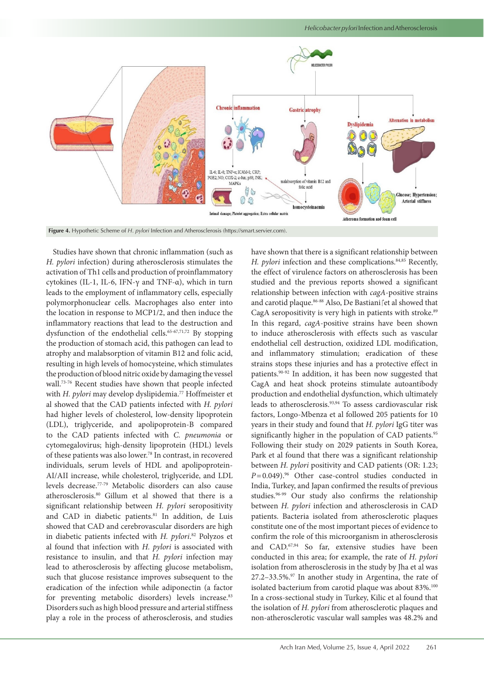

Studies have shown that chronic inflammation (such as *H. pylori* infection) during atherosclerosis stimulates the activation of Th1 cells and production of proinflammatory cytokines (IL-1, IL-6, IFN-γ and TNF-α), which in turn leads to the employment of inflammatory cells, especially polymorphonuclear cells. Macrophages also enter into the location in response to MCP1/2, and then induce the inflammatory reactions that lead to the destruction and dysfunction of the endothelial cells.<sup>65-67,71,72</sup> By stopping the production of stomach acid, this pathogen can lead to atrophy and malabsorption of vitamin B12 and folic acid, resulting in high levels of homocysteine, which stimulates the production of blood nitric oxide by damaging the vessel wall.73-76 Recent studies have shown that people infected with *H. pylori* may develop dyslipidemia.<sup>77</sup> Hoffmeister et al showed that the CAD patients infected with *H. pylori* had higher levels of cholesterol, low-density lipoprotein (LDL), triglyceride, and apolipoprotein-B compared to the CAD patients infected with *C. pneumonia* or cytomegalovirus; high-density lipoprotein (HDL) levels of these patients was also lower.78 In contrast, in recovered individuals, serum levels of HDL and apolipoprotein-AI/AII increase, while cholesterol, triglyceride, and LDL levels decrease.77-79 Metabolic disorders can also cause atherosclerosis.80 Gillum et al showed that there is a significant relationship between *H. pylori* seropositivity and CAD in diabetic patients.<sup>81</sup> In addition, de Luis showed that CAD and cerebrovascular disorders are high in diabetic patients infected with *H. pylori*. 82 Polyzos et al found that infection with *H. pylori* is associated with resistance to insulin, and that *H. pylori* infection may lead to atherosclerosis by affecting glucose metabolism, such that glucose resistance improves subsequent to the eradication of the infection while adiponectin (a factor for preventing metabolic disorders) levels increase.<sup>83</sup> Disorders such as high blood pressure and arterial stiffness play a role in the process of atherosclerosis, and studies

<span id="page-4-0"></span>have shown that there is a significant relationship between *H. pylori* infection and these complications.<sup>84,85</sup> Recently, the effect of virulence factors on atherosclerosis has been studied and the previous reports showed a significant relationship between infection with *cagA*-positive strains and carotid plaque.<sup>86-88</sup> Also, De Bastiani fet al showed that CagA seropositivity is very high in patients with stroke.<sup>89</sup> In this regard, *cagA*-positive strains have been shown to induce atherosclerosis with effects such as vascular endothelial cell destruction, oxidized LDL modification, and inflammatory stimulation; eradication of these strains stops these injuries and has a protective effect in patients.90-92 In addition, it has been now suggested that CagA and heat shock proteins stimulate autoantibody production and endothelial dysfunction, which ultimately leads to atherosclerosis.93,94 To assess cardiovascular risk factors, Longo-Mbenza et al followed 205 patients for 10 years in their study and found that *H. pylori* IgG titer was significantly higher in the population of CAD patients.<sup>95</sup> Following their study on 2029 patients in South Korea, Park et al found that there was a significant relationship between *H. pylori* positivity and CAD patients (OR: 1.23;  $P=0.049$ <sup>96</sup> Other case-control studies conducted in India, Turkey, and Japan confirmed the results of previous studies.<sup>96-99</sup> Our study also confirms the relationship between *H. pylori* infection and atherosclerosis in CAD patients. Bacteria isolated from atherosclerotic plaques constitute one of the most important pieces of evidence to confirm the role of this microorganism in atherosclerosis and CAD.67,94 So far, extensive studies have been conducted in this area; for example, the rate of *H. pylori* isolation from atherosclerosis in the study by Jha et al was  $27.2-33.5\%$ .<sup>97</sup> In another study in Argentina, the rate of isolated bacterium from carotid plaque was about 83%.<sup>100</sup> In a cross-sectional study in Turkey, Kilic et al found that the isolation of *H. pylori* from atherosclerotic plaques and non-atherosclerotic vascular wall samples was 48.2% and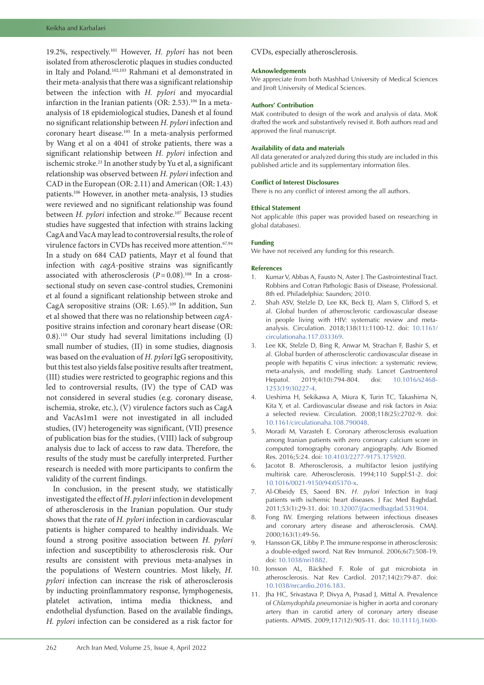19.2%, respectively.101 However, *H. pylori* has not been isolated from atherosclerotic plaques in studies conducted in Italy and Poland.102,103 Rahmani et al demonstrated in their meta-analysis that there was a significant relationship between the infection with *H. pylori* and myocardial infarction in the Iranian patients (OR: 2.53).<sup>104</sup> In a metaanalysis of 18 epidemiological studies, Danesh et al found no significant relationship between *H. pylori* infection and coronary heart disease.105 In a meta-analysis performed by Wang et al on a 4041 of stroke patients, there was a significant relationship between *H. pylori* infection and ischemic stroke.23 In another study by Yu et al, a significant relationship was observed between *H. pylori* infection and CAD in the European (OR: 2.11) and American (OR: 1.43) patients.106 However, in another meta-analysis, 13 studies were reviewed and no significant relationship was found between *H. pylori* infection and stroke.<sup>107</sup> Because recent studies have suggested that infection with strains lacking CagA and VacA may lead to controversial results, the role of virulence factors in CVDs has received more attention.<sup>67,94</sup> In a study on 684 CAD patients, Mayr et al found that infection with *cagA*-positive strains was significantly associated with atherosclerosis  $(P=0.08)$ .<sup>108</sup> In a crosssectional study on seven case-control studies, Cremonini et al found a significant relationship between stroke and CagA seropositive strains (OR: 1.65).<sup>109</sup> In addition, Sun et al showed that there was no relationship between *cagA*positive strains infection and coronary heart disease (OR: 0.8).110 Our study had several limitations including (I) small number of studies, (II) in some studies, diagnosis was based on the evaluation of *H. pylori* IgG seropositivity, but this test also yields false positive results after treatment, (III) studies were restricted to geographic regions and this led to controversial results, (IV) the type of CAD was not considered in several studies (e.g. coronary disease, ischemia, stroke, etc.), (V) virulence factors such as CagA and VacAs1m1 were not investigated in all included studies, (IV) heterogeneity was significant, (VII) presence of publication bias for the studies, (VIII) lack of subgroup analysis due to lack of access to raw data. Therefore, the results of the study must be carefully interpreted. Further research is needed with more participants to confirm the validity of the current findings.

In conclusion, in the present study, we statistically investigated the effect of *H*. *pylori* infection in development of atherosclerosis in the Iranian population. Our study shows that the rate of *H. pylori* infection in cardiovascular patients is higher compared to healthy individuals. We found a strong positive association between *H. pylori* infection and susceptibility to atherosclerosis risk. Our results are consistent with previous meta-analyses in the populations of Western countries. Most likely, *H. pylori* infection can increase the risk of atherosclerosis by inducting proinflammatory response, lymphogenesis, platelet activation, intima media thickness, and endothelial dysfunction. Based on the available findings, *H. pylori* infection can be considered as a risk factor for

### CVDs, especially atherosclerosis.

#### **Acknowledgements**

We appreciate from both Mashhad University of Medical Sciences and Jiroft University of Medical Sciences.

#### **Authors' Contribution**

MaK contributed to design of the work and analysis of data. MoK drafted the work and substantively revised it. Both authors read and approved the final manuscript.

#### **Availability of data and materials**

All data generated or analyzed during this study are included in this published article and its supplementary information files.

#### **Conflict of Interest Disclosures**

There is no any conflict of interest among the all authors.

#### **Ethical Statement**

Not applicable (this paper was provided based on researching in global databases).

#### **Funding**

We have not received any funding for this research.

#### **References**

- 1. Kumar V, Abbas A, Fausto N, Aster J. The Gastrointestinal Tract. Robbins and Cotran Pathologic Basis of Disease, Professional. 8th ed. Philadelphia: Saunders; 2010.
- 2. Shah ASV, Stelzle D, Lee KK, Beck EJ, Alam S, Clifford S, et al. Global burden of atherosclerotic cardiovascular disease in people living with HIV: systematic review and metaanalysis. Circulation. 2018;138(11):1100-12. doi: [10.1161/](https://doi.org/10.1161/circulationaha.117.033369) [circulationaha.117.033369.](https://doi.org/10.1161/circulationaha.117.033369)
- 3. Lee KK, Stelzle D, Bing R, Anwar M, Strachan F, Bashir S, et al. Global burden of atherosclerotic cardiovascular disease in people with hepatitis C virus infection: a systematic review, meta-analysis, and modelling study. Lancet Gastroenterol Hepatol. 2019;4(10):794-804. doi: [10.1016/s2468-](https://doi.org/10.1016/s2468-1253(19)30227-4) [1253\(19\)30227-4](https://doi.org/10.1016/s2468-1253(19)30227-4).
- 4. Ueshima H, Sekikawa A, Miura K, Turin TC, Takashima N, Kita Y, et al. Cardiovascular disease and risk factors in Asia: a selected review. Circulation. 2008;118(25):2702-9. doi: [10.1161/circulationaha.108.790048.](https://doi.org/10.1161/circulationaha.108.790048)
- 5. Moradi M, Varasteh E. Coronary atherosclerosis evaluation among Iranian patients with zero coronary calcium score in computed tomography coronary angiography. Adv Biomed Res. 2016;5:24. doi: [10.4103/2277-9175.175920](https://doi.org/10.4103/2277-9175.175920).
- 6. Jacotot B. Atherosclerosis, a multifactor lesion justifying multirisk care. Atherosclerosis. 1994;110 Suppl:S1-2. doi: [10.1016/0021-9150\(94\)05370-x.](https://doi.org/10.1016/0021-9150(94)05370-x)
- 7. Al-Obeidy ES, Saeed BN. *H. pylori* Infection in Iraqi patients with ischemic heart diseases. J Fac Med Baghdad. 2011;53(1):29-31. doi: [10.32007/jfacmedbagdad.531904.](https://doi.org/10.32007/jfacmedbagdad.531904)
- 8. Fong IW. Emerging relations between infectious diseases and coronary artery disease and atherosclerosis. CMAJ. 2000;163(1):49-56.
- Hansson GK, Libby P. The immune response in atherosclerosis: a double-edged sword. Nat Rev Immunol. 2006;6(7):508-19. doi: [10.1038/nri1882.](https://doi.org/10.1038/nri1882)
- 10. Jonsson AL, Bäckhed F. Role of gut microbiota in atherosclerosis. Nat Rev Cardiol. 2017;14(2):79-87. doi: [10.1038/nrcardio.2016.183](https://doi.org/10.1038/nrcardio.2016.183).
- 11. Jha HC, Srivastava P, Divya A, Prasad J, Mittal A. Prevalence of *Chlamydophila pneumoniae* is higher in aorta and coronary artery than in carotid artery of coronary artery disease patients. APMIS. 2009;117(12):905-11. doi: [10.1111/j.1600-](https://doi.org/10.1111/j.1600-0463.2009.02553.x)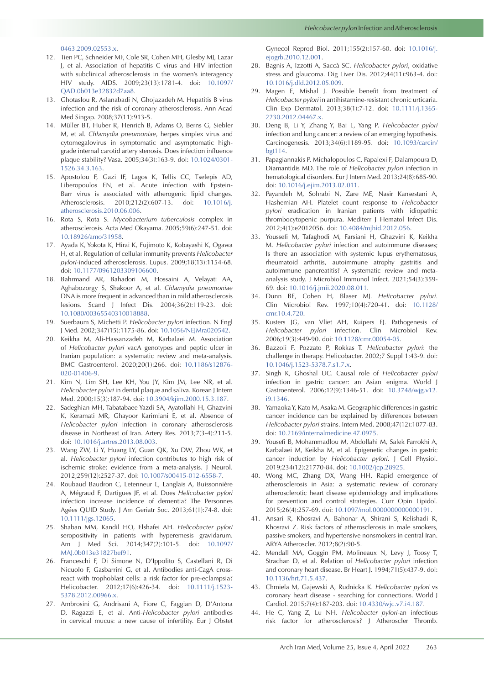[0463.2009.02553.x](https://doi.org/10.1111/j.1600-0463.2009.02553.x).

- 12. Tien PC, Schneider MF, Cole SR, Cohen MH, Glesby MJ, Lazar J, et al. Association of hepatitis C virus and HIV infection with subclinical atherosclerosis in the women's interagency HIV study. AIDS. 2009;23(13):1781-4. doi: [10.1097/](https://doi.org/10.1097/QAD.0b013e32832d7aa8) [QAD.0b013e32832d7aa8.](https://doi.org/10.1097/QAD.0b013e32832d7aa8)
- 13. Ghotaslou R, Aslanabadi N, Ghojazadeh M. Hepatitis B virus infection and the risk of coronary atherosclerosis. Ann Acad Med Singap. 2008;37(11):913-5.
- 14. Müller BT, Huber R, Henrich B, Adams O, Berns G, Siebler M, et al. *Chlamydia pneumoniae*, herpes simplex virus and cytomegalovirus in symptomatic and asymptomatic highgrade internal carotid artery stenosis. Does infection influence plaque stability? Vasa. 2005;34(3):163-9. doi: [10.1024/0301-](https://doi.org/10.1024/0301-1526.34.3.163) [1526.34.3.163.](https://doi.org/10.1024/0301-1526.34.3.163)
- 15. Apostolou F, Gazi IF, Lagos K, Tellis CC, Tselepis AD, Liberopoulos EN, et al. Acute infection with Epstein-Barr virus is associated with atherogenic lipid changes. Atherosclerosis. 2010;212(2):607-13. doi: [10.1016/j.](https://doi.org/10.1016/j.atherosclerosis.2010.06.006) [atherosclerosis.2010.06.006](https://doi.org/10.1016/j.atherosclerosis.2010.06.006).
- 16. Rota S, Rota S. *Mycobacterium tuberculosis* complex in atherosclerosis. Acta Med Okayama. 2005;59(6):247-51. doi: [10.18926/amo/31958.](https://doi.org/10.18926/amo/31958)
- 17. Ayada K, Yokota K, Hirai K, Fujimoto K, Kobayashi K, Ogawa H, et al. Regulation of cellular immunity prevents *Helicobacter pylori*-induced atherosclerosis. Lupus. 2009;18(13):1154-68. doi: [10.1177/0961203309106600.](https://doi.org/10.1177/0961203309106600)
- 18. Bahrmand AR, Bahadori M, Hossaini A, Velayati AA, Aghabozorgy S, Shakoor A, et al. *Chlamydia pneumoniae* DNA is more frequent in advanced than in mild atherosclerosis lesions. Scand J Infect Dis. 2004;36(2):119-23. doi: [10.1080/00365540310018888](https://doi.org/10.1080/00365540310018888).
- 19. Suerbaum S, Michetti P. *Helicobacter pylori* infection. N Engl J Med. 2002;347(15):1175-86. doi: [10.1056/NEJMra020542](https://doi.org/10.1056/NEJMra020542).
- 20. Keikha M, Ali-Hassanzadeh M, Karbalaei M. Association of *Helicobacter pylori* vacA genotypes and peptic ulcer in Iranian population: a systematic review and meta-analysis. BMC Gastroenterol. 2020;20(1):266. doi: [10.1186/s12876-](https://doi.org/10.1186/s12876-020-01406-9) [020-01406-9](https://doi.org/10.1186/s12876-020-01406-9).
- 21. Kim N, Lim SH, Lee KH, You JY, Kim JM, Lee NR, et al. *Helicobacter pylori* in dental plaque and saliva. Korean J Intern Med. 2000;15(3):187-94. doi: [10.3904/kjim.2000.15.3.187](https://doi.org/10.3904/kjim.2000.15.3.187).
- 22. Sadeghian MH, Tabatabaee Yazdi SA, Ayatollahi H, Ghazvini K, Keramati MR, Ghayoor Karimiani E, et al. Absence of *Helicobacter pylori* infection in coronary atherosclerosis disease in Northeast of Iran. Artery Res. 2013;7(3-4):211-5. doi: [10.1016/j.artres.2013.08.003](https://doi.org/10.1016/j.artres.2013.08.003).
- 23. Wang ZW, Li Y, Huang LY, Guan QK, Xu DW, Zhou WK, et al. *Helicobacter pylori* infection contributes to high risk of ischemic stroke: evidence from a meta-analysis. J Neurol. 2012;259(12):2527-37. doi: [10.1007/s00415-012-6558-7](https://doi.org/10.1007/s00415-012-6558-7).
- 24. Roubaud Baudron C, Letenneur L, Langlais A, Buissonnière A, Mégraud F, Dartigues JF, et al. Does *Helicobacter pylori* infection increase incidence of dementia? The Personnes Agées QUID Study. J Am Geriatr Soc. 2013;61(1):74-8. doi: [10.1111/jgs.12065.](https://doi.org/10.1111/jgs.12065)
- 25. Shaban MM, Kandil HO, Elshafei AH. *Helicobacter pylori* seropositivity in patients with hyperemesis gravidarum. Am J Med Sci. 2014;347(2):101-5. doi: [10.1097/](https://doi.org/10.1097/MAJ.0b013e31827bef91) [MAJ.0b013e31827bef91.](https://doi.org/10.1097/MAJ.0b013e31827bef91)
- 26. Franceschi F, Di Simone N, D'Ippolito S, Castellani R, Di Nicuolo F, Gasbarrini G, et al. Antibodies anti-CagA crossreact with trophoblast cells: a risk factor for pre-eclampsia? Helicobacter. 2012;17(6):426-34. doi: [10.1111/j.1523-](https://doi.org/10.1111/j.1523-5378.2012.00966.x) [5378.2012.00966.x](https://doi.org/10.1111/j.1523-5378.2012.00966.x).
- 27. Ambrosini G, Andrisani A, Fiore C, Faggian D, D'Antona D, Ragazzi E, et al. Anti-*Helicobacter pylori* antibodies in cervical mucus: a new cause of infertility. Eur J Obstet

Gynecol Reprod Biol. 2011;155(2):157-60. doi: [10.1016/j.](https://doi.org/10.1016/j.ejogrb.2010.12.001) [ejogrb.2010.12.001](https://doi.org/10.1016/j.ejogrb.2010.12.001).

- 28. Bagnis A, Izzotti A, Saccà SC. *Helicobacter pylori*, oxidative stress and glaucoma. Dig Liver Dis. 2012;44(11):963-4. doi: [10.1016/j.dld.2012.05.009](https://doi.org/10.1016/j.dld.2012.05.009).
- 29. Magen E, Mishal J. Possible benefit from treatment of *Helicobacter pylori* in antihistamine-resistant chronic urticaria. Clin Exp Dermatol. 2013;38(1):7-12. doi: [10.1111/j.1365-](https://doi.org/10.1111/j.1365-2230.2012.04467.x) [2230.2012.04467.x](https://doi.org/10.1111/j.1365-2230.2012.04467.x).
- 30. Deng B, Li Y, Zhang Y, Bai L, Yang P. *Helicobacter pylori*  infection and lung cancer: a review of an emerging hypothesis. Carcinogenesis. 2013;34(6):1189-95. doi: [10.1093/carcin/](https://doi.org/10.1093/carcin/bgt114) [bgt114.](https://doi.org/10.1093/carcin/bgt114)
- 31. Papagiannakis P, Michalopoulos C, Papalexi F, Dalampoura D, Diamantidis MD. The role of *Helicobacter pylori* infection in hematological disorders. Eur J Intern Med. 2013;24(8):685-90. doi: [10.1016/j.ejim.2013.02.011.](https://doi.org/10.1016/j.ejim.2013.02.011)
- 32. Payandeh M, Sohrabi N, Zare ME, Nasir Kansestani A, Hashemian AH. Platelet count response to *Helicobacter pylori* eradication in Iranian patients with idiopathic thrombocytopenic purpura. Mediterr J Hematol Infect Dis. 2012;4(1):e2012056. doi: [10.4084/mjhid.2012.056](https://doi.org/10.4084/mjhid.2012.056).
- 33. Youssefi M, Tafaghodi M, Farsiani H, Ghazvini K, Keikha M. *Helicobacter pylori* infection and autoimmune diseases; Is there an association with systemic lupus erythematosus, rheumatoid arthritis, autoimmune atrophy gastritis and autoimmune pancreatitis? A systematic review and metaanalysis study. J Microbiol Immunol Infect. 2021;54(3):359- 69. doi: [10.1016/j.jmii.2020.08.011.](https://doi.org/10.1016/j.jmii.2020.08.011)
- 34. Dunn BE, Cohen H, Blaser MJ. *Helicobacter pylori*. Clin Microbiol Rev. 1997;10(4):720-41. doi: [10.1128/](https://doi.org/10.1128/cmr.10.4.720) [cmr.10.4.720](https://doi.org/10.1128/cmr.10.4.720).
- 35. Kusters JG, van Vliet AH, Kuipers EJ. Pathogenesis of *Helicobacter pylori* infection. Clin Microbiol Rev. 2006;19(3):449-90. doi: [10.1128/cmr.00054-05.](https://doi.org/10.1128/cmr.00054-05)
- 36. Bazzoli F, Pozzato P, Rokkas T. *Helicobacter pylori*: the challenge in therapy. Helicobacter. 2002;7 Suppl 1:43-9. doi: [10.1046/j.1523-5378.7.s1.7.x](https://doi.org/10.1046/j.1523-5378.7.s1.7.x).
- 37. Singh K, Ghoshal UC. Causal role of *Helicobacter pylori* infection in gastric cancer: an Asian enigma. World J Gastroenterol. 2006;12(9):1346-51. doi: [10.3748/wjg.v12.](https://doi.org/10.3748/wjg.v12.i9.1346) [i9.1346.](https://doi.org/10.3748/wjg.v12.i9.1346)
- 38. Yamaoka Y, Kato M, Asaka M. Geographic differences in gastric cancer incidence can be explained by differences between *Helicobacter pylori* strains. Intern Med. 2008;47(12):1077-83. doi: [10.2169/internalmedicine.47.0975](https://doi.org/10.2169/internalmedicine.47.0975).
- 39. Yousefi B, Mohammadlou M, Abdollahi M, Salek Farrokhi A, Karbalaei M, Keikha M, et al. Epigenetic changes in gastric cancer induction by *Helicobacter pylori*. J Cell Physiol. 2019;234(12):21770-84. doi: [10.1002/jcp.28925.](https://doi.org/10.1002/jcp.28925)
- 40. Wong MC, Zhang DX, Wang HH. Rapid emergence of atherosclerosis in Asia: a systematic review of coronary atherosclerotic heart disease epidemiology and implications for prevention and control strategies. Curr Opin Lipidol. 2015;26(4):257-69. doi: [10.1097/mol.0000000000000191.](https://doi.org/10.1097/mol.0000000000000191)
- 41. Ansari R, Khosravi A, Bahonar A, Shirani S, Kelishadi R, Khosravi Z. Risk factors of atherosclerosis in male smokers, passive smokers, and hypertensive nonsmokers in central Iran. ARYA Atheroscler. 2012;8(2):90-5.
- 42. Mendall MA, Goggin PM, Molineaux N, Levy J, Toosy T, Strachan D, et al. Relation of *Helicobacter pylori* infection and coronary heart disease. Br Heart J. 1994;71(5):437-9. doi: [10.1136/hrt.71.5.437.](https://doi.org/10.1136/hrt.71.5.437)
- 43. Chmiela M, Gajewski A, Rudnicka K. *Helicobacter pylori* vs coronary heart disease - searching for connections. World J Cardiol. 2015;7(4):187-203. doi: [10.4330/wjc.v7.i4.187](https://doi.org/10.4330/wjc.v7.i4.187).
- 44. He C, Yang Z, Lu NH. *Helicobacter pylori*-an infectious risk factor for atherosclerosis? J Atheroscler Thromb.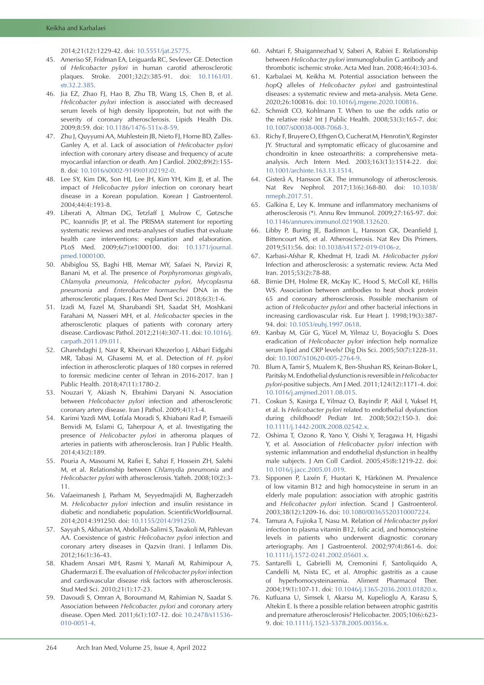2014;21(12):1229-42. doi: [10.5551/jat.25775.](https://doi.org/10.5551/jat.25775)

- 45. Ameriso SF, Fridman EA, Leiguarda RC, Sevlever GE. Detection of *Helicobacter pylori* in human carotid atherosclerotic plaques. Stroke. 2001;32(2):385-91. doi: [10.1161/01.](https://doi.org/10.1161/01.str.32.2.385) [str.32.2.385](https://doi.org/10.1161/01.str.32.2.385).
- 46. Jia EZ, Zhao FJ, Hao B, Zhu TB, Wang LS, Chen B, et al. *Helicobacter pylori* infection is associated with decreased serum levels of high density lipoprotein, but not with the severity of coronary atherosclerosis. Lipids Health Dis. 2009;8:59. doi: [10.1186/1476-511x-8-59.](https://doi.org/10.1186/1476-511x-8-59)
- 47. Zhu J, Quyyumi AA, Muhlestein JB, Nieto FJ, Horne BD, Zalles-Ganley A, et al. Lack of association of *Helicobacter pylori* infection with coronary artery disease and frequency of acute myocardial infarction or death. Am J Cardiol. 2002;89(2):155- 8. doi: [10.1016/s0002-9149\(01\)02192-0](https://doi.org/10.1016/s0002-9149(01)02192-0).
- 48. Lee SY, Kim DK, Son HJ, Lee JH, Kim YH, Kim JJ, et al. The impact of *Helicobacter pylori* infection on coronary heart disease in a Korean population. Korean J Gastroenterol. 2004;44(4):193-8.
- 49. Liberati A, Altman DG, Tetzlaff J, Mulrow C, Gøtzsche PC, Ioannidis JP, et al. The PRISMA statement for reporting systematic reviews and meta-analyses of studies that evaluate health care interventions: explanation and elaboration. PLoS Med. 2009;6(7):e1000100. doi: [10.1371/journal.](https://doi.org/10.1371/journal.pmed.1000100) [pmed.1000100.](https://doi.org/10.1371/journal.pmed.1000100)
- 50. Abibiglou SS, Baghi HB, Memar MY, Safaei N, Parvizi R, Banani M, et al. The presence of *Porphyromonas gingivalis*, *Chlamydia pneumonia*, *Helicobacter pylori*, *Mycoplasma pneumonia* and *Enterobacter hormaechei* DNA in the atherosclerotic plaques. J Res Med Dent Sci. 2018;6(3):1-6.
- 51. Izadi M, Fazel M, Sharubandi SH, Saadat SH, Moshkani Farahani M, Nasseri MH, et al. *Helicobacter* species in the atherosclerotic plaques of patients with coronary artery disease. Cardiovasc Pathol. 2012;21(4):307-11. doi: [10.1016/j.](https://doi.org/10.1016/j.carpath.2011.09.011) [carpath.2011.09.011](https://doi.org/10.1016/j.carpath.2011.09.011).
- 52. Gharehdaghi J, Nasr R, Kheirvari Khezerloo J, Akbari Eidgahi MR, Tabasi M, Ghasemi M, et al. Detection of *H. pylori* infection in atherosclerotic plaques of 180 corpses in referred to forensic medicine center of Tehran in 2016-2017. Iran J Public Health. 2018;47(11):1780-2.
- 53. Nouzari Y, Akiash N, Ebrahimi Daryani N. Association between *Helicobacter pylori* infection and atherosclerotic coronary artery disease. Iran J Pathol. 2009;4(1):1-4.
- 54. Karimi Yazdi MM, Lotfala Moradi S, Khiabani Rad P, Esmaeili Benvidi M, Eslami G, Taherpour A, et al. Investigating the presence of *Helicobacter pylori* in atheroma plaques of arteries in patients with atherosclerosis. Iran J Public Health. 2014;43(2):189.
- 55. Pouria A, Masoumi M, Rafiei E, Sabzi F, Hossein ZH, Salehi M, et al. Relationship between *Chlamydia pneumonia* and *Helicobacter pylori* with atherosclerosis. Yafteh. 2008;10(2):3- 11.
- 56. Vafaeimanesh J, Parham M, Seyyedmajidi M, Bagherzadeh M. *Helicobacter pylori* infection and insulin resistance in diabetic and nondiabetic population. ScientificWorldJournal. 2014;2014:391250. doi: [10.1155/2014/391250](https://doi.org/10.1155/2014/391250).
- 57. Sayyah S, Akbarian M, Abdollah-Salimi S, Tavakoli M, Pahlevan AA. Coexistence of gastric *Helicobacter pylori* infection and coronary artery diseases in Qazvin (Iran). J Inflamm Dis. 2012;16(1):36-43.
- 58. Khadem Ansari MH, Rasmi Y, Manafi M, Rahimipour A, Ghadermarzi E. The evaluation of *Helicobacter pylori* infection and cardiovascular disease risk factors with atherosclerosis. Stud Med Sci. 2010;21(1):17-23.
- 59. Davoudi S, Omran A, Boroumand M, Rahimian N, Saadat S. Association between *Helicobacter. pylori* and coronary artery disease. Open Med. 2011;6(1):107-12. doi: [10.2478/s11536-](https://doi.org/10.2478/s11536-010-0051-4) [010-0051-4.](https://doi.org/10.2478/s11536-010-0051-4)
- 60. Ashtari F, Shaigannezhad V, Saberi A, Rabiei E. Relationship between *Helicobacter pylori* immunoglobulin G antibody and thrombotic ischemic stroke. Acta Med Iran. 2008;46(4):303-6.
- 61. Karbalaei M, Keikha M. Potential association between the *hop*Q alleles of *Helicobacter pylori* and gastrointestinal diseases: a systematic review and meta-analysis. Meta Gene. 2020;26:100816. doi: [10.1016/j.mgene.2020.100816](https://doi.org/10.1016/j.mgene.2020.100816).
- 62. Schmidt CO, Kohlmann T. When to use the odds ratio or the relative risk? Int J Public Health. 2008;53(3):165-7. doi: [10.1007/s00038-008-7068-3](https://doi.org/10.1007/s00038-008-7068-3).
- 63. Richy F, Bruyere O, Ethgen O, Cucherat M, Henrotin Y, Reginster JY. Structural and symptomatic efficacy of glucosamine and chondroitin in knee osteoarthritis: a comprehensive metaanalysis. Arch Intern Med. 2003;163(13):1514-22. doi: [10.1001/archinte.163.13.1514.](https://doi.org/10.1001/archinte.163.13.1514)
- 64. Gisterå A, Hansson GK. The immunology of atherosclerosis. Nat Rev Nephrol. 2017;13(6):368-80. doi: [10.1038/](https://doi.org/10.1038/nrneph.2017.51) [nrneph.2017.51.](https://doi.org/10.1038/nrneph.2017.51)
- 65. Galkina E, Ley K. Immune and inflammatory mechanisms of atherosclerosis (\*). Annu Rev Immunol. 2009;27:165-97. doi: [10.1146/annurev.immunol.021908.132620.](https://doi.org/10.1146/annurev.immunol.021908.132620)
- 66. Libby P, Buring JE, Badimon L, Hansson GK, Deanfield J, Bittencourt MS, et al. Atherosclerosis. Nat Rev Dis Primers. 2019;5(1):56. doi: [10.1038/s41572-019-0106-z](https://doi.org/10.1038/s41572-019-0106-z).
- 67. Karbasi-Afshar R, Khedmat H, Izadi M. *Helicobacter pylori* Infection and atherosclerosis: a systematic review. Acta Med Iran. 2015;53(2):78-88.
- 68. Birnie DH, Holme ER, McKay IC, Hood S, McColl KE, Hillis WS. Association between antibodies to heat shock protein 65 and coronary atherosclerosis. Possible mechanism of action of *Helicobacter pylori* and other bacterial infections in increasing cardiovascular risk. Eur Heart J. 1998;19(3):387- 94. doi: [10.1053/euhj.1997.0618](https://doi.org/10.1053/euhj.1997.0618).
- 69. Kanbay M, Gür G, Yücel M, Yilmaz U, Boyacioğlu S. Does eradication of *Helicobacter pylori* infection help normalize serum lipid and CRP levels? Dig Dis Sci. 2005;50(7):1228-31. doi: [10.1007/s10620-005-2764-9.](https://doi.org/10.1007/s10620-005-2764-9)
- 70. Blum A, Tamir S, Mualem K, Ben-Shushan RS, Keinan-Boker L, Paritsky M. Endothelial dysfunction is reversible in *Helicobacter pylori*-positive subjects. Am J Med. 2011;124(12):1171-4. doi: [10.1016/j.amjmed.2011.08.015](https://doi.org/10.1016/j.amjmed.2011.08.015).
- 71. Coskun S, Kasirga E, Yilmaz O, Bayindir P, Akil I, Yuksel H, et al. Is *Helicobacter pylori* related to endothelial dysfunction during childhood? Pediatr Int. 2008;50(2):150-3. doi: [10.1111/j.1442-200X.2008.02542.x.](https://doi.org/10.1111/j.1442-200X.2008.02542.x)
- 72. Oshima T, Ozono R, Yano Y, Oishi Y, Teragawa H, Higashi Y, et al. Association of *Helicobacter pylori* infection with systemic inflammation and endothelial dysfunction in healthy male subjects. J Am Coll Cardiol. 2005;45(8):1219-22. doi: [10.1016/j.jacc.2005.01.019](https://doi.org/10.1016/j.jacc.2005.01.019).
- 73. Sipponen P, Laxén F, Huotari K, Härkönen M. Prevalence of low vitamin B12 and high homocysteine in serum in an elderly male population: association with atrophic gastritis and *Helicobacter pylori* infection. Scand J Gastroenterol. 2003;38(12):1209-16. doi: [10.1080/00365520310007224.](https://doi.org/10.1080/00365520310007224)
- 74. Tamura A, Fujioka T, Nasu M. Relation of *Helicobacter pylori* infection to plasma vitamin B12, folic acid, and homocysteine levels in patients who underwent diagnostic coronary arteriography. Am J Gastroenterol. 2002;97(4):861-6. doi: [10.1111/j.1572-0241.2002.05601.x.](https://doi.org/10.1111/j.1572-0241.2002.05601.x)
- 75. Santarelli L, Gabrielli M, Cremonini F, Santoliquido A, Candelli M, Nista EC, et al. Atrophic gastritis as a cause of hyperhomocysteinaemia. Aliment Pharmacol Ther. 2004;19(1):107-11. doi: [10.1046/j.1365-2036.2003.01820.x](https://doi.org/10.1046/j.1365-2036.2003.01820.x).
- 76. Kutluana U, Simsek I, Akarsu M, Kupelioglu A, Karasu S, Altekin E. Is there a possible relation between atrophic gastritis and premature atherosclerosis? Helicobacter. 2005;10(6):623- 9. doi: [10.1111/j.1523-5378.2005.00356.x.](https://doi.org/10.1111/j.1523-5378.2005.00356.x)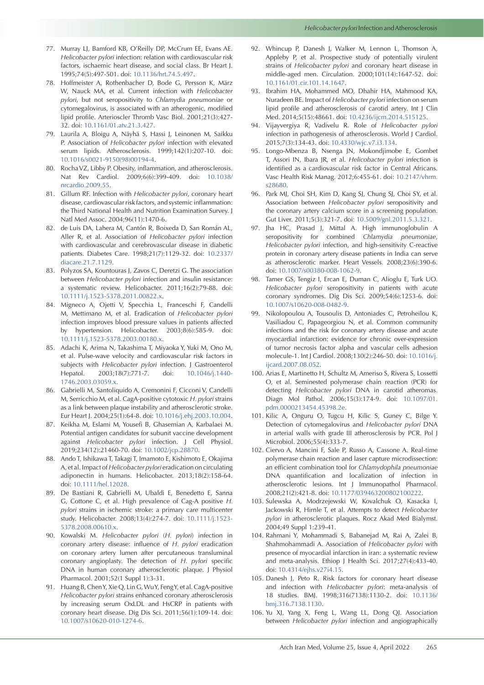- 77. Murray LJ, Bamford KB, O'Reilly DP, McCrum EE, Evans AE. *Helicobacter pylori* infection: relation with cardiovascular risk factors, ischaemic heart disease, and social class. Br Heart J. 1995;74(5):497-501. doi: [10.1136/hrt.74.5.497.](https://doi.org/10.1136/hrt.74.5.497)
- 78. Hoffmeister A, Rothenbacher D, Bode G, Persson K, März W, Nauck MA, et al. Current infection with *Helicobacter pylori*, but not seropositivity to *Chlamydia pneumoniae* or cytomegalovirus, is associated with an atherogenic, modified lipid profile. Arterioscler Thromb Vasc Biol. 2001;21(3):427- 32. doi: [10.1161/01.atv.21.3.427.](https://doi.org/10.1161/01.atv.21.3.427)
- 79. Laurila A, Bloigu A, Näyhä S, Hassi J, Leinonen M, Saikku P. Association of *Helicobacter pylori* infection with elevated serum lipids. Atherosclerosis. 1999;142(1):207-10. doi: [10.1016/s0021-9150\(98\)00194-4.](https://doi.org/10.1016/s0021-9150(98)00194-4)
- 80. Rocha VZ, Libby P. Obesity, inflammation, and atherosclerosis. Nat Rev Cardiol. 2009;6(6):399-409. doi: [10.1038/](https://doi.org/10.1038/nrcardio.2009.55) [nrcardio.2009.55.](https://doi.org/10.1038/nrcardio.2009.55)
- 81. Gillum RF. Infection with *Helicobacter pylori*, coronary heart disease, cardiovascular risk factors, and systemic inflammation: the Third National Health and Nutrition Examination Survey. J Natl Med Assoc. 2004;96(11):1470-6.
- 82. de Luis DA, Lahera M, Cantón R, Boixeda D, San Román AL, Aller R, et al. Association of *Helicobacter pylori* infection with cardiovascular and cerebrovascular disease in diabetic patients. Diabetes Care. 1998;21(7):1129-32. doi: [10.2337/](https://doi.org/10.2337/diacare.21.7.1129) [diacare.21.7.1129.](https://doi.org/10.2337/diacare.21.7.1129)
- 83. Polyzos SA, Kountouras J, Zavos C, Deretzi G. The association between *Helicobacter pylori* infection and insulin resistance: a systematic review. Helicobacter. 2011;16(2):79-88. doi: [10.1111/j.1523-5378.2011.00822.x](https://doi.org/10.1111/j.1523-5378.2011.00822.x).
- 84. Migneco A, Ojetti V, Specchia L, Franceschi F, Candelli M, Mettimano M, et al. Eradication of *Helicobacter pylori* infection improves blood pressure values in patients affected by hypertension. Helicobacter. 2003;8(6):585-9. doi: [10.1111/j.1523-5378.2003.00180.x](https://doi.org/10.1111/j.1523-5378.2003.00180.x).
- 85. Adachi K, Arima N, Takashima T, Miyaoka Y, Yuki M, Ono M, et al. Pulse-wave velocity and cardiovascular risk factors in subjects with *Helicobacter pylori* infection. J Gastroenterol Hepatol. 2003;18(7):771-7. doi: [10.1046/j.1440-](https://doi.org/10.1046/j.1440-1746.2003.03059.x) [1746.2003.03059.x](https://doi.org/10.1046/j.1440-1746.2003.03059.x).
- 86. Gabrielli M, Santoliquido A, Cremonini F, Cicconi V, Candelli M, Serricchio M, et al. CagA-positive cytotoxic *H. pylori* strains as a link between plaque instability and atherosclerotic stroke. Eur Heart J. 2004;25(1):64-8. doi: [10.1016/j.ehj.2003.10.004](https://doi.org/10.1016/j.ehj.2003.10.004).
- 87. Keikha M, Eslami M, Yousefi B, Ghasemian A, Karbalaei M. Potential antigen candidates for subunit vaccine development against *Helicobacter pylori* infection. J Cell Physiol. 2019;234(12):21460-70. doi: [10.1002/jcp.28870.](https://doi.org/10.1002/jcp.28870)
- 88. Ando T, Ishikawa T, Takagi T, Imamoto E, Kishimoto E, Okajima A, et al. Impact of *Helicobacter pylori* eradication on circulating adiponectin in humans. Helicobacter. 2013;18(2):158-64. doi: [10.1111/hel.12028.](https://doi.org/10.1111/hel.12028)
- 89. De Bastiani R, Gabrielli M, Ubaldi E, Benedetto E, Sanna G, Cottone C, et al. High prevalence of Cag-A positive *H. pylori* strains in ischemic stroke: a primary care multicenter study. Helicobacter. 2008;13(4):274-7. doi: [10.1111/j.1523-](https://doi.org/10.1111/j.1523-5378.2008.00610.x) [5378.2008.00610.x](https://doi.org/10.1111/j.1523-5378.2008.00610.x).
- 90. Kowalski M. *Helicobacter pylori* (*H. pylori*) infection in coronary artery disease: influence of *H. pylori* eradication on coronary artery lumen after percutaneous transluminal coronary angioplasty. The detection of *H. pylori* specific DNA in human coronary atherosclerotic plaque. J Physiol Pharmacol. 2001;52(1 Suppl 1):3-31.
- 91. Huang B, Chen Y, Xie Q, Lin G, Wu Y, Feng Y, et al. CagA-positive *Helicobacter pylori* strains enhanced coronary atherosclerosis by increasing serum OxLDL and HsCRP in patients with coronary heart disease. Dig Dis Sci. 2011;56(1):109-14. doi: [10.1007/s10620-010-1274-6.](https://doi.org/10.1007/s10620-010-1274-6)
- 92. Whincup P, Danesh J, Walker M, Lennon L, Thomson A, Appleby P, et al. Prospective study of potentially virulent strains of *Helicobacter pylori* and coronary heart disease in middle-aged men. Circulation. 2000;101(14):1647-52. doi: [10.1161/01.cir.101.14.1647](https://doi.org/10.1161/01.cir.101.14.1647).
- 93. Ibrahim HA, Mohammed MO, Dhahir HA, Mahmood KA, Nuradeen BE. Impact of *Helicobacter pylori* infection on serum lipid profile and atherosclerosis of carotid artery. Int J Clin Med. 2014;5(15):48661. doi: [10.4236/ijcm.2014.515125](https://doi.org/10.4236/ijcm.2014.515125).
- 94. Vijayvergiya R, Vadivelu R. Role of *Helicobacter pylori* infection in pathogenesis of atherosclerosis. World J Cardiol. 2015;7(3):134-43. doi: [10.4330/wjc.v7.i3.134](https://doi.org/10.4330/wjc.v7.i3.134).
- 95. Longo-Mbenza B, Nsenga JN, Mokondjimobe E, Gombet T, Assori IN, Ibara JR, et al. *Helicobacter pylori* infection is identified as a cardiovascular risk factor in Central Africans. Vasc Health Risk Manag. 2012;6:455-61. doi: [10.2147/vhrm.](https://doi.org/10.2147/vhrm.s28680) [s28680](https://doi.org/10.2147/vhrm.s28680).
- 96. Park MJ, Choi SH, Kim D, Kang SJ, Chung SJ, Choi SY, et al. Association between *Helicobacter pylori* seropositivity and the coronary artery calcium score in a screening population. Gut Liver. 2011;5(3):321-7. doi: [10.5009/gnl.2011.5.3.321](https://doi.org/10.5009/gnl.2011.5.3.321).
- 97. Jha HC, Prasad J, Mittal A. High immunoglobulin A seropositivity for combined *Chlamydia pneumoniae*, *Helicobacter pylori* infection, and high-sensitivity C-reactive protein in coronary artery disease patients in India can serve as atherosclerotic marker. Heart Vessels. 2008;23(6):390-6. doi: [10.1007/s00380-008-1062-9.](https://doi.org/10.1007/s00380-008-1062-9)
- 98. Tamer GS, Tengiz I, Ercan E, Duman C, Alioglu E, Turk UO. *Helicobacter pylori* seropositivity in patients with acute coronary syndromes. Dig Dis Sci. 2009;54(6):1253-6. doi: [10.1007/s10620-008-0482-9](https://doi.org/10.1007/s10620-008-0482-9).
- 99. Nikolopoulou A, Tousoulis D, Antoniades C, Petroheilou K, Vasiliadou C, Papageorgiou N, et al. Common community infections and the risk for coronary artery disease and acute myocardial infarction: evidence for chronic over-expression of tumor necrosis factor alpha and vascular cells adhesion molecule-1. Int J Cardiol. 2008;130(2):246-50. doi: [10.1016/j.](https://doi.org/10.1016/j.ijcard.2007.08.052) [ijcard.2007.08.052](https://doi.org/10.1016/j.ijcard.2007.08.052).
- 100. Arias E, Martinetto H, Schultz M, Ameriso S, Rivera S, Lossetti O, et al. Seminested polymerase chain reaction (PCR) for detecting *Helicobacter pylori* DNA in carotid atheromas. Diagn Mol Pathol. 2006;15(3):174-9. doi: [10.1097/01.](https://doi.org/10.1097/01.pdm.0000213454.45398.2e) [pdm.0000213454.45398.2e](https://doi.org/10.1097/01.pdm.0000213454.45398.2e).
- 101. Kilic A, Onguru O, Tugcu H, Kilic S, Guney C, Bilge Y. Detection of cytomegalovirus and *Helicobacter pylori* DNA in arterial walls with grade III atherosclerosis by PCR. Pol J Microbiol. 2006;55(4):333-7.
- 102. Ciervo A, Mancini F, Sale P, Russo A, Cassone A. Real-time polymerase chain reaction and laser capture microdissection: an efficient combination tool for *Chlamydophila pneumoniae* DNA quantification and localization of infection in atherosclerotic lesions. Int J Immunopathol Pharmacol. 2008;21(2):421-8. doi: [10.1177/039463200802100222.](https://doi.org/10.1177/039463200802100222)
- 103. Sulewska A, Modrzejewski W, Kovalchuk O, Kasacka I, Jackowski R, Hirnle T, et al. Attempts to detect *Helicobacter pylori* in atherosclerotic plaques. Rocz Akad Med Bialymst. 2004;49 Suppl 1:239-41.
- 104. Rahmani Y, Mohammadi S, Babanejad M, Rai A, Zalei B, Shahmohammadi A. Association of *Helicobacter pylori* with presence of myocardial infarction in iran: a systematic review and meta-analysis. Ethiop J Health Sci. 2017;27(4):433-40. doi: [10.4314/ejhs.v27i4.15](https://doi.org/10.4314/ejhs.v27i4.15).
- 105. Danesh J, Peto R. Risk factors for coronary heart disease and infection with *Helicobacter pylori*: meta-analysis of 18 studies. BMJ. 1998;316(7138):1130-2. doi: [10.1136/](https://doi.org/10.1136/bmj.316.7138.1130) [bmj.316.7138.1130.](https://doi.org/10.1136/bmj.316.7138.1130)
- 106. Yu XJ, Yang X, Feng L, Wang LL, Dong QJ. Association between *Helicobacter pylori* infection and angiographically